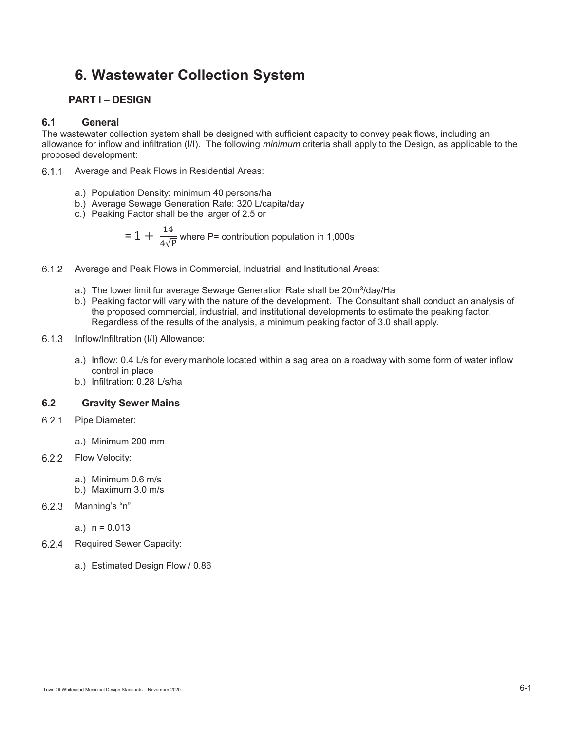# **6. Wastewater Collection System**

## **PART I – DESIGN**

## **6.1 General**

The wastewater collection system shall be designed with sufficient capacity to convey peak flows, including an allowance for inflow and infiltration (I/I). The following *minimum* criteria shall apply to the Design, as applicable to the proposed development:

- 6.1.1 Average and Peak Flows in Residential Areas:
	- a.) Population Density: minimum 40 persons/ha
	- b.) Average Sewage Generation Rate: 320 L/capita/day
	- c.) Peaking Factor shall be the larger of 2.5 or

$$
= 1 + \frac{14}{4\sqrt{p}}
$$
 where P= contribution population in 1,000s

- Average and Peak Flows in Commercial, Industrial, and Institutional Areas:
	- a.) The lower limit for average Sewage Generation Rate shall be 20m<sup>3</sup>/day/Ha
	- b.) Peaking factor will vary with the nature of the development. The Consultant shall conduct an analysis of the proposed commercial, industrial, and institutional developments to estimate the peaking factor. Regardless of the results of the analysis, a minimum peaking factor of 3.0 shall apply.
- 6.1.3 Inflow/Infiltration (I/I) Allowance:
	- a.) Inflow: 0.4 L/s for every manhole located within a sag area on a roadway with some form of water inflow control in place
	- b.) Infiltration: 0.28 L/s/ha

## **6.2 Gravity Sewer Mains**

- 6.2.1 Pipe Diameter:
	- a.) Minimum 200 mm
- 6.2.2 Flow Velocity:
	- a.) Minimum 0.6 m/s
	- b.) Maximum 3.0 m/s
- $6.2.3$  Manning's "n":

a.)  $n = 0.013$ 

- 6.2.4 Required Sewer Capacity:
	- a.) Estimated Design Flow / 0.86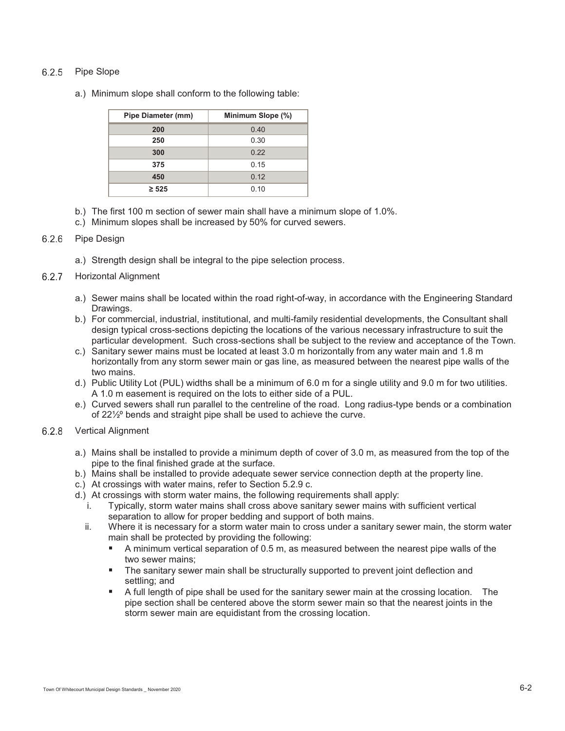## 6.2.5 Pipe Slope

a.) Minimum slope shall conform to the following table:

| <b>Pipe Diameter (mm)</b> | Minimum Slope (%) |
|---------------------------|-------------------|
| 200                       | 0.40              |
| 250                       | 0.30              |
| 300                       | 0.22              |
| 375                       | 0.15              |
| 450                       | 0.12              |
| $\geq 525$                | 0.10              |

- b.) The first 100 m section of sewer main shall have a minimum slope of 1.0%.
- c.) Minimum slopes shall be increased by 50% for curved sewers.

## 6.2.6 Pipe Design

a.) Strength design shall be integral to the pipe selection process.

#### 6.2.7 Horizontal Alignment

- a.) Sewer mains shall be located within the road right-of-way, in accordance with the Engineering Standard Drawings.
- b.) For commercial, industrial, institutional, and multi-family residential developments, the Consultant shall design typical cross-sections depicting the locations of the various necessary infrastructure to suit the particular development. Such cross-sections shall be subject to the review and acceptance of the Town.
- c.) Sanitary sewer mains must be located at least 3.0 m horizontally from any water main and 1.8 m horizontally from any storm sewer main or gas line, as measured between the nearest pipe walls of the two mains.
- d.) Public Utility Lot (PUL) widths shall be a minimum of 6.0 m for a single utility and 9.0 m for two utilities. A 1.0 m easement is required on the lots to either side of a PUL.
- e.) Curved sewers shall run parallel to the centreline of the road. Long radius-type bends or a combination of 22½º bends and straight pipe shall be used to achieve the curve.

#### 6.2.8 Vertical Alignment

- a.) Mains shall be installed to provide a minimum depth of cover of 3.0 m, as measured from the top of the pipe to the final finished grade at the surface.
- b.) Mains shall be installed to provide adequate sewer service connection depth at the property line.
- c.) At crossings with water mains, refer to Section 5.2.9 c.
- d.) At crossings with storm water mains, the following requirements shall apply:
	- i. Typically, storm water mains shall cross above sanitary sewer mains with sufficient vertical separation to allow for proper bedding and support of both mains.
	- ii. Where it is necessary for a storm water main to cross under a sanitary sewer main, the storm water main shall be protected by providing the following:
		- - A minimum vertical separation of 0.5 m, as measured between the nearest pipe walls of the two sewer mains;
		- - The sanitary sewer main shall be structurally supported to prevent joint deflection and settling; and
		- - A full length of pipe shall be used for the sanitary sewer main at the crossing location. The pipe section shall be centered above the storm sewer main so that the nearest joints in the storm sewer main are equidistant from the crossing location.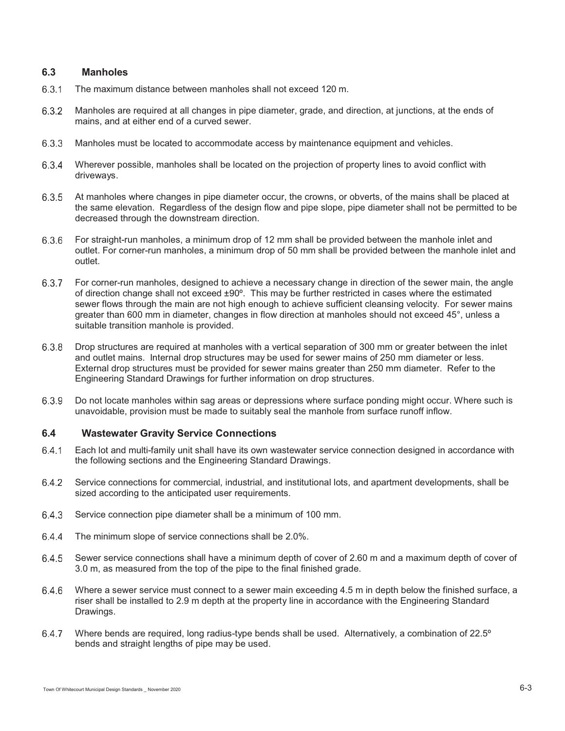## **6.3 Manholes**

- 6.3.1 The maximum distance between manholes shall not exceed 120 m.
- Manholes are required at all changes in pipe diameter, grade, and direction, at junctions, at the ends of mains, and at either end of a curved sewer.
- 6.3.3 Manholes must be located to accommodate access by maintenance equipment and vehicles.
- Wherever possible, manholes shall be located on the projection of property lines to avoid conflict with driveways.
- 6.3.5 At manholes where changes in pipe diameter occur, the crowns, or obverts, of the mains shall be placed at the same elevation. Regardless of the design flow and pipe slope, pipe diameter shall not be permitted to be decreased through the downstream direction.
- For straight-run manholes, a minimum drop of 12 mm shall be provided between the manhole inlet and outlet. For corner-run manholes, a minimum drop of 50 mm shall be provided between the manhole inlet and outlet.
- 6.3.7 For corner-run manholes, designed to achieve a necessary change in direction of the sewer main, the angle of direction change shall not exceed ±90º. This may be further restricted in cases where the estimated sewer flows through the main are not high enough to achieve sufficient cleansing velocity. For sewer mains greater than 600 mm in diameter, changes in flow direction at manholes should not exceed 45°, unless a suitable transition manhole is provided.
- 6.3.8 Drop structures are required at manholes with a vertical separation of 300 mm or greater between the inlet and outlet mains. Internal drop structures may be used for sewer mains of 250 mm diameter or less. External drop structures must be provided for sewer mains greater than 250 mm diameter. Refer to the Engineering Standard Drawings for further information on drop structures.
- 6.3.9 Do not locate manholes within sag areas or depressions where surface ponding might occur. Where such is unavoidable, provision must be made to suitably seal the manhole from surface runoff inflow.

## **6.4 Wastewater Gravity Service Connections**

- Each lot and multi-family unit shall have its own wastewater service connection designed in accordance with the following sections and the Engineering Standard Drawings.
- Service connections for commercial, industrial, and institutional lots, and apartment developments, shall be sized according to the anticipated user requirements.
- Service connection pipe diameter shall be a minimum of 100 mm.
- 6.4.4 The minimum slope of service connections shall be 2.0%.
- Sewer service connections shall have a minimum depth of cover of 2.60 m and a maximum depth of cover of 3.0 m, as measured from the top of the pipe to the final finished grade.
- Where a sewer service must connect to a sewer main exceeding 4.5 m in depth below the finished surface, a riser shall be installed to 2.9 m depth at the property line in accordance with the Engineering Standard Drawings.
- Where bends are required, long radius-type bends shall be used. Alternatively, a combination of 22.5º bends and straight lengths of pipe may be used.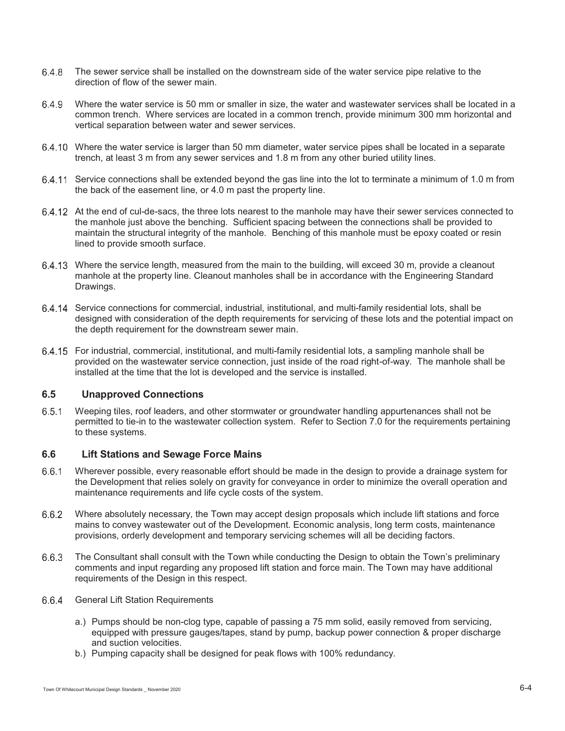- The sewer service shall be installed on the downstream side of the water service pipe relative to the direction of flow of the sewer main.
- Where the water service is 50 mm or smaller in size, the water and wastewater services shall be located in a common trench. Where services are located in a common trench, provide minimum 300 mm horizontal and vertical separation between water and sewer services.
- Where the water service is larger than 50 mm diameter, water service pipes shall be located in a separate trench, at least 3 m from any sewer services and 1.8 m from any other buried utility lines.
- Service connections shall be extended beyond the gas line into the lot to terminate a minimum of 1.0 m from the back of the easement line, or 4.0 m past the property line.
- At the end of cul-de-sacs, the three lots nearest to the manhole may have their sewer services connected to the manhole just above the benching. Sufficient spacing between the connections shall be provided to maintain the structural integrity of the manhole. Benching of this manhole must be epoxy coated or resin lined to provide smooth surface.
- Where the service length, measured from the main to the building, will exceed 30 m, provide a cleanout manhole at the property line. Cleanout manholes shall be in accordance with the Engineering Standard Drawings.
- Service connections for commercial, industrial, institutional, and multi-family residential lots, shall be designed with consideration of the depth requirements for servicing of these lots and the potential impact on the depth requirement for the downstream sewer main.
- For industrial, commercial, institutional, and multi-family residential lots, a sampling manhole shall be provided on the wastewater service connection, just inside of the road right-of-way. The manhole shall be installed at the time that the lot is developed and the service is installed.

## **6.5 Unapproved Connections**

 Weeping tiles, roof leaders, and other stormwater or groundwater handling appurtenances shall not be permitted to tie-in to the wastewater collection system. Refer to Section 7.0 for the requirements pertaining to these systems.

## **6.6 Lift Stations and Sewage Force Mains**

- Wherever possible, every reasonable effort should be made in the design to provide a drainage system for the Development that relies solely on gravity for conveyance in order to minimize the overall operation and maintenance requirements and life cycle costs of the system.
- Where absolutely necessary, the Town may accept design proposals which include lift stations and force mains to convey wastewater out of the Development. Economic analysis, long term costs, maintenance provisions, orderly development and temporary servicing schemes will all be deciding factors.
- The Consultant shall consult with the Town while conducting the Design to obtain the Town's preliminary comments and input regarding any proposed lift station and force main. The Town may have additional requirements of the Design in this respect.
- 6.6.4 General Lift Station Requirements
	- a.) Pumps should be non-clog type, capable of passing a 75 mm solid, easily removed from servicing, equipped with pressure gauges/tapes, stand by pump, backup power connection & proper discharge and suction velocities.
	- b.) Pumping capacity shall be designed for peak flows with 100% redundancy.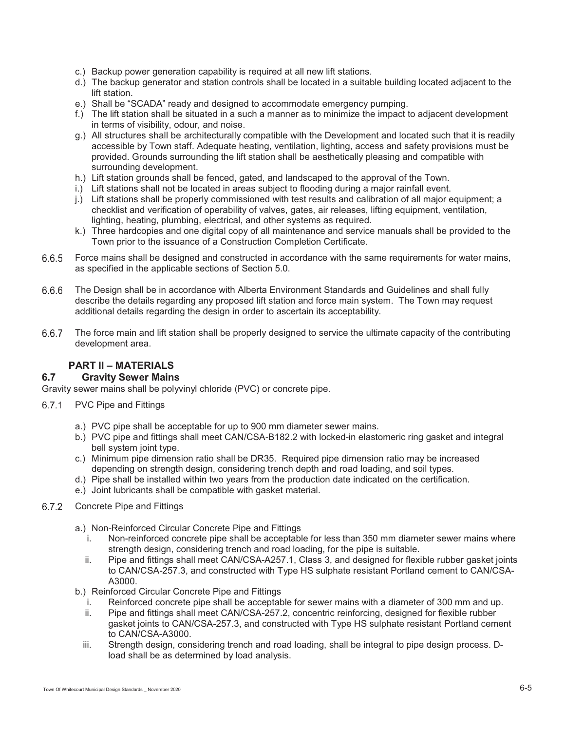- c.) Backup power generation capability is required at all new lift stations.
- d.) The backup generator and station controls shall be located in a suitable building located adjacent to the lift station.
- e.) Shall be "SCADA" ready and designed to accommodate emergency pumping.
- f.) The lift station shall be situated in a such a manner as to minimize the impact to adjacent development in terms of visibility, odour, and noise.
- g.) All structures shall be architecturally compatible with the Development and located such that it is readily accessible by Town staff. Adequate heating, ventilation, lighting, access and safety provisions must be provided. Grounds surrounding the lift station shall be aesthetically pleasing and compatible with surrounding development.
- h.) Lift station grounds shall be fenced, gated, and landscaped to the approval of the Town.
- i.) Lift stations shall not be located in areas subject to flooding during a major rainfall event.
- j.) Lift stations shall be properly commissioned with test results and calibration of all major equipment; a checklist and verification of operability of valves, gates, air releases, lifting equipment, ventilation, lighting, heating, plumbing, electrical, and other systems as required.
- k.) Three hardcopies and one digital copy of all maintenance and service manuals shall be provided to the Town prior to the issuance of a Construction Completion Certificate.
- Force mains shall be designed and constructed in accordance with the same requirements for water mains, as specified in the applicable sections of Section 5.0.
- The Design shall be in accordance with Alberta Environment Standards and Guidelines and shall fully describe the details regarding any proposed lift station and force main system. The Town may request additional details regarding the design in order to ascertain its acceptability.
- 6.6.7 The force main and lift station shall be properly designed to service the ultimate capacity of the contributing development area.

## **PART II – MATERIALS**

## **6.7 Gravity Sewer Mains**

Gravity sewer mains shall be polyvinyl chloride (PVC) or concrete pipe.

- 6.7.1 PVC Pipe and Fittings
	- a.) PVC pipe shall be acceptable for up to 900 mm diameter sewer mains.
	- b.) PVC pipe and fittings shall meet CAN/CSA-B182.2 with locked-in elastomeric ring gasket and integral bell system joint type.
	- c.) Minimum pipe dimension ratio shall be DR35. Required pipe dimension ratio may be increased depending on strength design, considering trench depth and road loading, and soil types.
	- d.) Pipe shall be installed within two years from the production date indicated on the certification.
	- e.) Joint lubricants shall be compatible with gasket material.
- 6.7.2 Concrete Pipe and Fittings
	- a.) Non-Reinforced Circular Concrete Pipe and Fittings
		- i. Non-reinforced concrete pipe shall be acceptable for less than 350 mm diameter sewer mains where strength design, considering trench and road loading, for the pipe is suitable.
		- ii. Pipe and fittings shall meet CAN/CSA-A257.1, Class 3, and designed for flexible rubber gasket joints to CAN/CSA-257.3, and constructed with Type HS sulphate resistant Portland cement to CAN/CSA-A3000.
	- b.) Reinforced Circular Concrete Pipe and Fittings
		- i. Reinforced concrete pipe shall be acceptable for sewer mains with a diameter of 300 mm and up.
		- ii. Pipe and fittings shall meet CAN/CSA-257.2, concentric reinforcing, designed for flexible rubber gasket joints to CAN/CSA-257.3, and constructed with Type HS sulphate resistant Portland cement to CAN/CSA-A3000.
		- iii. Strength design, considering trench and road loading, shall be integral to pipe design process. Dload shall be as determined by load analysis.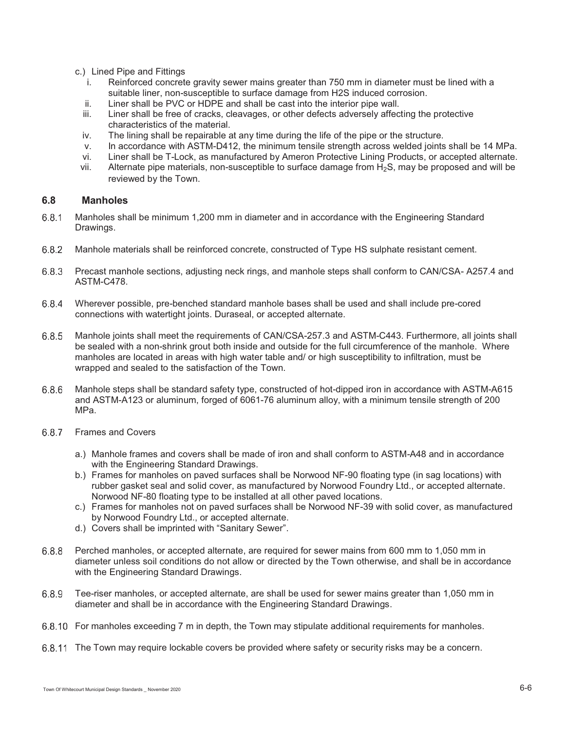- c.) Lined Pipe and Fittings
	- i. Reinforced concrete gravity sewer mains greater than 750 mm in diameter must be lined with a suitable liner, non-susceptible to surface damage from H2S induced corrosion.
	- ii. Liner shall be PVC or HDPE and shall be cast into the interior pipe wall.<br>iii. Liner shall be free of cracks, cleavages, or other defects adversely affect
	- Liner shall be free of cracks, cleavages, or other defects adversely affecting the protective characteristics of the material.
	- iv. The lining shall be repairable at any time during the life of the pipe or the structure.
	- v. In accordance with ASTM-D412, the minimum tensile strength across welded joints shall be 14 MPa.
	- vi. Liner shall be T-Lock, as manufactured by Ameron Protective Lining Products, or accepted alternate.
	- vii. Alternate pipe materials, non-susceptible to surface damage from  $H_2S$ , may be proposed and will be reviewed by the Town.

## **6.8 Manholes**

- Manholes shall be minimum 1,200 mm in diameter and in accordance with the Engineering Standard Drawings.
- Manhole materials shall be reinforced concrete, constructed of Type HS sulphate resistant cement.
- 6.8.3 Precast manhole sections, adjusting neck rings, and manhole steps shall conform to CAN/CSA- A257.4 and ASTM-C478.
- Wherever possible, pre-benched standard manhole bases shall be used and shall include pre-cored connections with watertight joints. Duraseal, or accepted alternate.
- 6.8.5 Manhole joints shall meet the requirements of CAN/CSA-257.3 and ASTM-C443. Furthermore, all joints shall be sealed with a non-shrink grout both inside and outside for the full circumference of the manhole. Where manholes are located in areas with high water table and/ or high susceptibility to infiltration, must be wrapped and sealed to the satisfaction of the Town.
- 6.8.6 Manhole steps shall be standard safety type, constructed of hot-dipped iron in accordance with ASTM-A615 and ASTM-A123 or aluminum, forged of 6061-76 aluminum alloy, with a minimum tensile strength of 200 MPa.
- 6.8.7 Frames and Covers
	- a.) Manhole frames and covers shall be made of iron and shall conform to ASTM-A48 and in accordance with the Engineering Standard Drawings.
	- b.) Frames for manholes on paved surfaces shall be Norwood NF-90 floating type (in sag locations) with rubber gasket seal and solid cover, as manufactured by Norwood Foundry Ltd., or accepted alternate. Norwood NF-80 floating type to be installed at all other paved locations.
	- c.) Frames for manholes not on paved surfaces shall be Norwood NF-39 with solid cover, as manufactured by Norwood Foundry Ltd., or accepted alternate.
	- d.) Covers shall be imprinted with "Sanitary Sewer".
- Perched manholes, or accepted alternate, are required for sewer mains from 600 mm to 1,050 mm in diameter unless soil conditions do not allow or directed by the Town otherwise, and shall be in accordance with the Engineering Standard Drawings.
- Tee-riser manholes, or accepted alternate, are shall be used for sewer mains greater than 1,050 mm in diameter and shall be in accordance with the Engineering Standard Drawings.
- For manholes exceeding 7 m in depth, the Town may stipulate additional requirements for manholes.
- 6.8.11 The Town may require lockable covers be provided where safety or security risks may be a concern.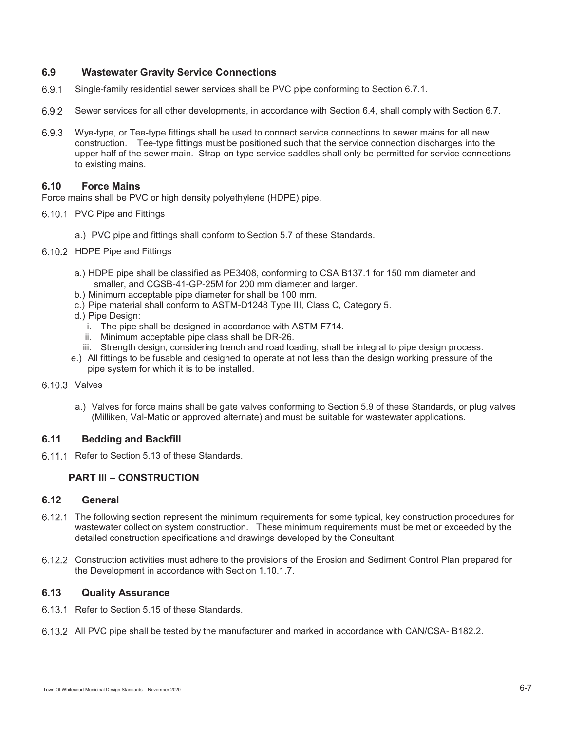## **6.9 Wastewater Gravity Service Connections**

- Single-family residential sewer services shall be PVC pipe conforming to Section 6.7.1.
- 6.9.2 Sewer services for all other developments, in accordance with Section 6.4, shall comply with Section 6.7.
- Wye-type, or Tee-type fittings shall be used to connect service connections to sewer mains for all new construction. Tee-type fittings must be positioned such that the service connection discharges into the upper half of the sewer main. Strap-on type service saddles shall only be permitted for service connections to existing mains.

## **6.10 Force Mains**

Force mains shall be PVC or high density polyethylene (HDPE) pipe.

- 6.10.1 PVC Pipe and Fittings
	- a.) PVC pipe and fittings shall conform to Section 5.7 of these Standards.
- 6.10.2 HDPE Pipe and Fittings
	- a.) HDPE pipe shall be classified as PE3408, conforming to CSA B137.1 for 150 mm diameter and smaller, and CGSB-41-GP-25M for 200 mm diameter and larger.
	- b.) Minimum acceptable pipe diameter for shall be 100 mm.
	- c.) Pipe material shall conform to ASTM-D1248 Type III, Class C, Category 5.
	- d.) Pipe Design:
		- i. The pipe shall be designed in accordance with ASTM-F714.
		- ii. Minimum acceptable pipe class shall be DR-26.
	- iii. Strength design, considering trench and road loading, shall be integral to pipe design process.
	- e.) All fittings to be fusable and designed to operate at not less than the design working pressure of the pipe system for which it is to be installed.

#### 6.10.3 Valves

a.) Valves for force mains shall be gate valves conforming to Section 5.9 of these Standards, or plug valves (Milliken, Val-Matic or approved alternate) and must be suitable for wastewater applications.

## **6.11 Bedding and Backfill**

6.11.1 Refer to Section 5.13 of these Standards.

## **PART III – CONSTRUCTION**

#### **6.12 General**

- 6.12.1 The following section represent the minimum requirements for some typical, key construction procedures for wastewater collection system construction. These minimum requirements must be met or exceeded by the detailed construction specifications and drawings developed by the Consultant.
- 6.12.2 Construction activities must adhere to the provisions of the Erosion and Sediment Control Plan prepared for the Development in accordance with Section 1.10.1.7.

#### **6.13 Quality Assurance**

- 6.13.1 Refer to Section 5.15 of these Standards.
- 6.13.2 All PVC pipe shall be tested by the manufacturer and marked in accordance with CAN/CSA- B182.2.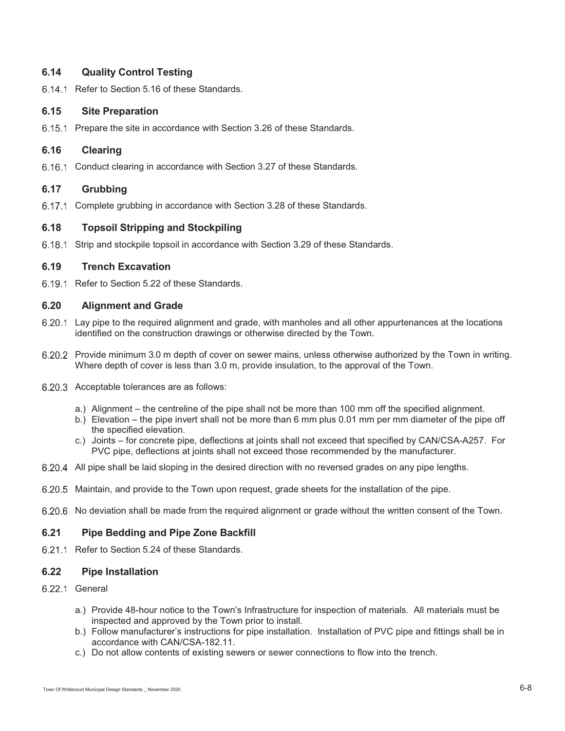## **6.14 Quality Control Testing**

6.14.1 Refer to Section 5.16 of these Standards.

## **6.15 Site Preparation**

6.15.1 Prepare the site in accordance with Section 3.26 of these Standards.

## **6.16 Clearing**

6.16.1 Conduct clearing in accordance with Section 3.27 of these Standards.

## **6.17 Grubbing**

6.17.1 Complete grubbing in accordance with Section 3.28 of these Standards.

#### **6.18 Topsoil Stripping and Stockpiling**

6.18.1 Strip and stockpile topsoil in accordance with Section 3.29 of these Standards.

#### **6.19 Trench Excavation**

6.19.1 Refer to Section 5.22 of these Standards.

## **6.20 Alignment and Grade**

- 6.20.1 Lay pipe to the required alignment and grade, with manholes and all other appurtenances at the locations identified on the construction drawings or otherwise directed by the Town.
- 6.20.2 Provide minimum 3.0 m depth of cover on sewer mains, unless otherwise authorized by the Town in writing. Where depth of cover is less than 3.0 m, provide insulation, to the approval of the Town.
- 6.20.3 Acceptable tolerances are as follows:
	- a.) Alignment the centreline of the pipe shall not be more than 100 mm off the specified alignment.
	- b.) Elevation the pipe invert shall not be more than 6 mm plus 0.01 mm per mm diameter of the pipe off the specified elevation.
	- c.) Joints for concrete pipe, deflections at joints shall not exceed that specified by CAN/CSA-A257. For PVC pipe, deflections at joints shall not exceed those recommended by the manufacturer.
- 6.20.4 All pipe shall be laid sloping in the desired direction with no reversed grades on any pipe lengths.
- 6.20.5 Maintain, and provide to the Town upon request, grade sheets for the installation of the pipe.
- 6.20.6 No deviation shall be made from the required alignment or grade without the written consent of the Town.

## **6.21 Pipe Bedding and Pipe Zone Backfill**

6.21.1 Refer to Section 5.24 of these Standards.

#### **6.22 Pipe Installation**

## 6.22.1 General

- a.) Provide 48-hour notice to the Town's Infrastructure for inspection of materials. All materials must be inspected and approved by the Town prior to install.
- b.) Follow manufacturer's instructions for pipe installation. Installation of PVC pipe and fittings shall be in accordance with CAN/CSA-182.11.
- c.) Do not allow contents of existing sewers or sewer connections to flow into the trench.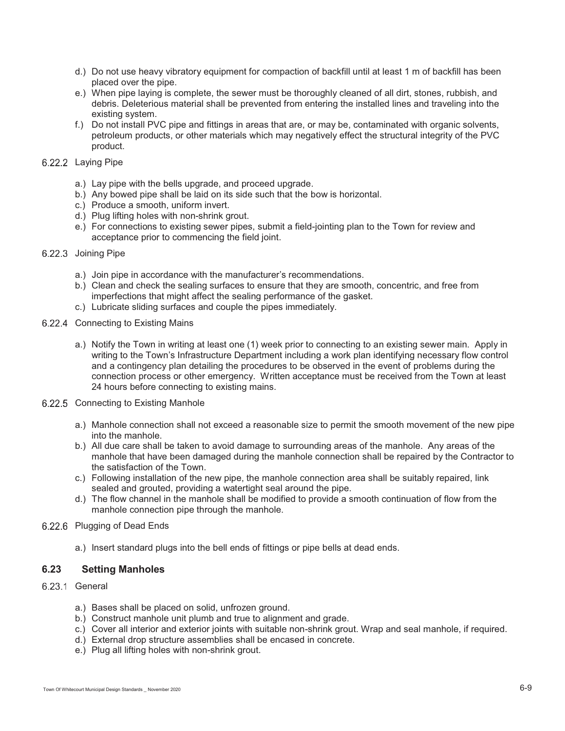- d.) Do not use heavy vibratory equipment for compaction of backfill until at least 1 m of backfill has been placed over the pipe.
- e.) When pipe laying is complete, the sewer must be thoroughly cleaned of all dirt, stones, rubbish, and debris. Deleterious material shall be prevented from entering the installed lines and traveling into the existing system.
- f.) Do not install PVC pipe and fittings in areas that are, or may be, contaminated with organic solvents, petroleum products, or other materials which may negatively effect the structural integrity of the PVC product.

## 6.22.2 Laying Pipe

- a.) Lay pipe with the bells upgrade, and proceed upgrade.
- b.) Any bowed pipe shall be laid on its side such that the bow is horizontal.
- c.) Produce a smooth, uniform invert.
- d.) Plug lifting holes with non-shrink grout.
- e.) For connections to existing sewer pipes, submit a field-jointing plan to the Town for review and acceptance prior to commencing the field joint.

#### 6.22.3 Joining Pipe

- a.) Join pipe in accordance with the manufacturer's recommendations.
- b.) Clean and check the sealing surfaces to ensure that they are smooth, concentric, and free from imperfections that might affect the sealing performance of the gasket.
- c.) Lubricate sliding surfaces and couple the pipes immediately.
- 6.22.4 Connecting to Existing Mains
	- a.) Notify the Town in writing at least one (1) week prior to connecting to an existing sewer main. Apply in writing to the Town's Infrastructure Department including a work plan identifying necessary flow control and a contingency plan detailing the procedures to be observed in the event of problems during the connection process or other emergency. Written acceptance must be received from the Town at least 24 hours before connecting to existing mains.
- 6.22.5 Connecting to Existing Manhole
	- a.) Manhole connection shall not exceed a reasonable size to permit the smooth movement of the new pipe into the manhole.
	- b.) All due care shall be taken to avoid damage to surrounding areas of the manhole. Any areas of the manhole that have been damaged during the manhole connection shall be repaired by the Contractor to the satisfaction of the Town.
	- c.) Following installation of the new pipe, the manhole connection area shall be suitably repaired, link sealed and grouted, providing a watertight seal around the pipe.
	- d.) The flow channel in the manhole shall be modified to provide a smooth continuation of flow from the manhole connection pipe through the manhole.

## 6.22.6 Plugging of Dead Ends

a.) Insert standard plugs into the bell ends of fittings or pipe bells at dead ends.

## **6.23 Setting Manholes**

#### 6.23.1 General

- a.) Bases shall be placed on solid, unfrozen ground.
- b.) Construct manhole unit plumb and true to alignment and grade.
- c.) Cover all interior and exterior joints with suitable non-shrink grout. Wrap and seal manhole, if required.
- d.) External drop structure assemblies shall be encased in concrete.
- e.) Plug all lifting holes with non-shrink grout.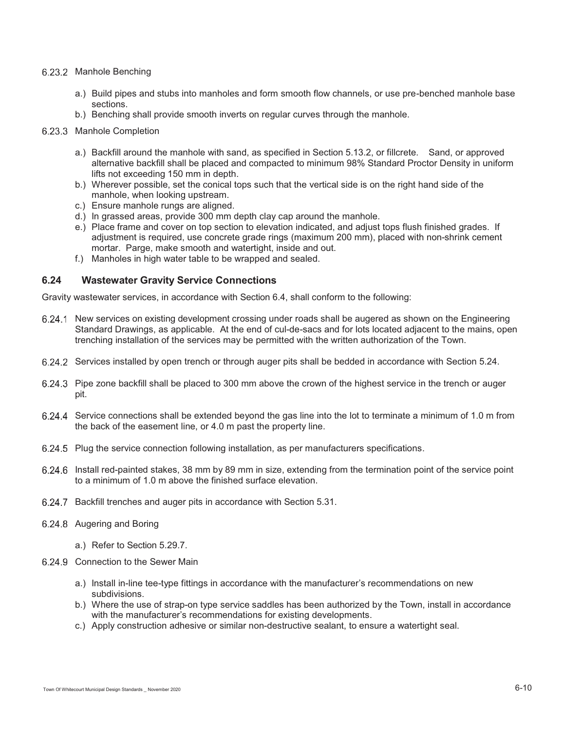#### 6.23.2 Manhole Benching

- a.) Build pipes and stubs into manholes and form smooth flow channels, or use pre-benched manhole base sections.
- b.) Benching shall provide smooth inverts on regular curves through the manhole.

#### 6.23.3 Manhole Completion

- a.) Backfill around the manhole with sand, as specified in Section 5.13.2, or fillcrete. Sand, or approved alternative backfill shall be placed and compacted to minimum 98% Standard Proctor Density in uniform lifts not exceeding 150 mm in depth.
- b.) Wherever possible, set the conical tops such that the vertical side is on the right hand side of the manhole, when looking upstream.
- c.) Ensure manhole rungs are aligned.
- d.) In grassed areas, provide 300 mm depth clay cap around the manhole.
- e.) Place frame and cover on top section to elevation indicated, and adjust tops flush finished grades. If adjustment is required, use concrete grade rings (maximum 200 mm), placed with non-shrink cement mortar. Parge, make smooth and watertight, inside and out.
- f.) Manholes in high water table to be wrapped and sealed.

## **6.24 Wastewater Gravity Service Connections**

Gravity wastewater services, in accordance with Section 6.4, shall conform to the following:

- 6.24.1 New services on existing development crossing under roads shall be augered as shown on the Engineering Standard Drawings, as applicable. At the end of cul-de-sacs and for lots located adjacent to the mains, open trenching installation of the services may be permitted with the written authorization of the Town.
- Services installed by open trench or through auger pits shall be bedded in accordance with Section 5.24.
- 6.24.3 Pipe zone backfill shall be placed to 300 mm above the crown of the highest service in the trench or auger pit.
- Service connections shall be extended beyond the gas line into the lot to terminate a minimum of 1.0 m from the back of the easement line, or 4.0 m past the property line.
- 6.24.5 Plug the service connection following installation, as per manufacturers specifications.
- Install red-painted stakes, 38 mm by 89 mm in size, extending from the termination point of the service point to a minimum of 1.0 m above the finished surface elevation.
- 6.24.7 Backfill trenches and auger pits in accordance with Section 5.31.
- 6.24.8 Augering and Boring
	- a.) Refer to Section 5.29.7.
- 6.24.9 Connection to the Sewer Main
	- a.) Install in-line tee-type fittings in accordance with the manufacturer's recommendations on new subdivisions.
	- b.) Where the use of strap-on type service saddles has been authorized by the Town, install in accordance with the manufacturer's recommendations for existing developments.
	- c.) Apply construction adhesive or similar non-destructive sealant, to ensure a watertight seal.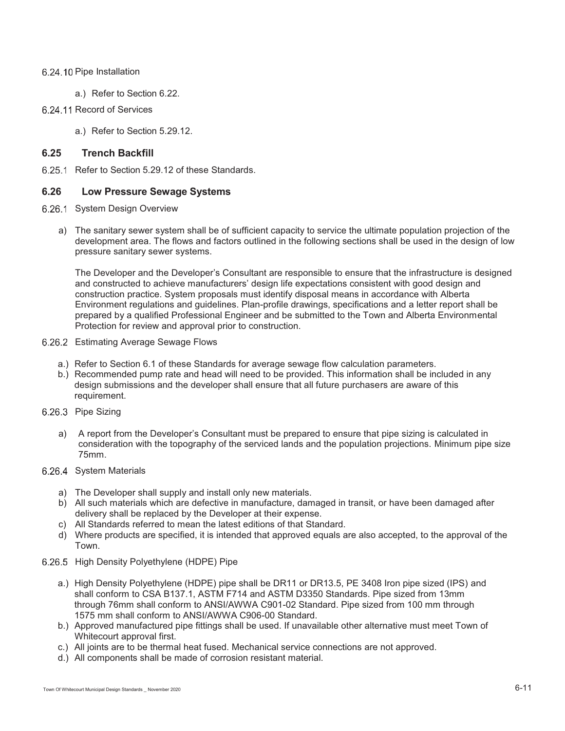## 6.24.10 Pipe Installation

a.) Refer to Section 6.22.

## 6.24.11 Record of Services

a.) Refer to Section 5.29.12.

## **6.25 Trench Backfill**

6.25.1 Refer to Section 5.29.12 of these Standards.

## **6.26 Low Pressure Sewage Systems**

- 6.26.1 System Design Overview
	- a) The sanitary sewer system shall be of sufficient capacity to service the ultimate population projection of the development area. The flows and factors outlined in the following sections shall be used in the design of low pressure sanitary sewer systems.

The Developer and the Developer's Consultant are responsible to ensure that the infrastructure is designed and constructed to achieve manufacturers' design life expectations consistent with good design and construction practice. System proposals must identify disposal means in accordance with Alberta Environment regulations and guidelines. Plan-profile drawings, specifications and a letter report shall be prepared by a qualified Professional Engineer and be submitted to the Town and Alberta Environmental Protection for review and approval prior to construction.

- 6.26.2 Estimating Average Sewage Flows
	- a.) Refer to Section 6.1 of these Standards for average sewage flow calculation parameters.
	- b.) Recommended pump rate and head will need to be provided. This information shall be included in any design submissions and the developer shall ensure that all future purchasers are aware of this requirement.
- 6.26.3 Pipe Sizing
	- a) A report from the Developer's Consultant must be prepared to ensure that pipe sizing is calculated in consideration with the topography of the serviced lands and the population projections. Minimum pipe size 75mm.

## 6.26.4 System Materials

- a) The Developer shall supply and install only new materials.
- b) All such materials which are defective in manufacture, damaged in transit, or have been damaged after delivery shall be replaced by the Developer at their expense.
- c) All Standards referred to mean the latest editions of that Standard.
- d) Where products are specified, it is intended that approved equals are also accepted, to the approval of the Town.
- 6.26.5 High Density Polyethylene (HDPE) Pipe
	- a.) High Density Polyethylene (HDPE) pipe shall be DR11 or DR13.5, PE 3408 Iron pipe sized (IPS) and shall conform to CSA B137.1, ASTM F714 and ASTM D3350 Standards. Pipe sized from 13mm through 76mm shall conform to ANSI/AWWA C901-02 Standard. Pipe sized from 100 mm through 1575 mm shall conform to ANSI/AWWA C906-00 Standard.
	- b.) Approved manufactured pipe fittings shall be used. If unavailable other alternative must meet Town of Whitecourt approval first.
	- c.) All joints are to be thermal heat fused. Mechanical service connections are not approved.
	- d.) All components shall be made of corrosion resistant material.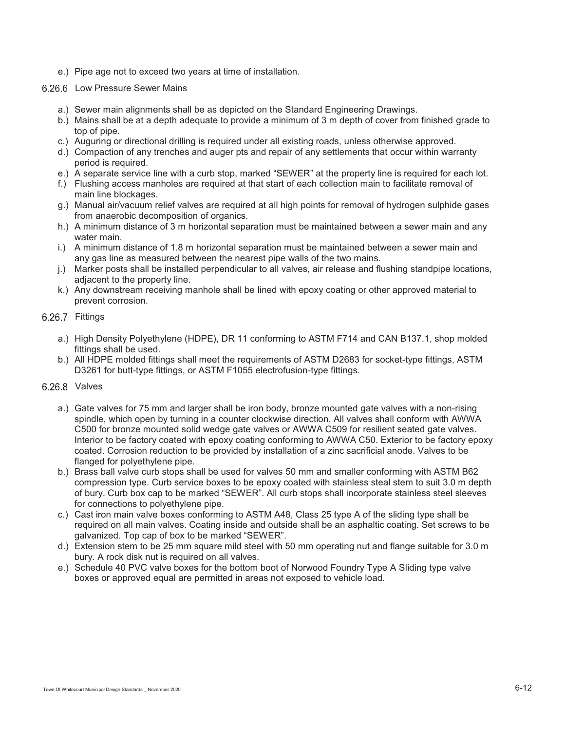e.) Pipe age not to exceed two years at time of installation.

#### 6.26.6 Low Pressure Sewer Mains

- a.) Sewer main alignments shall be as depicted on the Standard Engineering Drawings.
- b.) Mains shall be at a depth adequate to provide a minimum of 3 m depth of cover from finished grade to top of pipe.
- c.) Auguring or directional drilling is required under all existing roads, unless otherwise approved.
- d.) Compaction of any trenches and auger pts and repair of any settlements that occur within warranty period is required.
- e.) A separate service line with a curb stop, marked "SEWER" at the property line is required for each lot.
- f.) Flushing access manholes are required at that start of each collection main to facilitate removal of main line blockages.
- g.) Manual air/vacuum relief valves are required at all high points for removal of hydrogen sulphide gases from anaerobic decomposition of organics.
- h.) A minimum distance of 3 m horizontal separation must be maintained between a sewer main and any water main.
- i.) A minimum distance of 1.8 m horizontal separation must be maintained between a sewer main and any gas line as measured between the nearest pipe walls of the two mains.
- j.) Marker posts shall be installed perpendicular to all valves, air release and flushing standpipe locations, adjacent to the property line.
- k.) Any downstream receiving manhole shall be lined with epoxy coating or other approved material to prevent corrosion.
- 6.26.7 Fittings
	- a.) High Density Polyethylene (HDPE), DR 11 conforming to ASTM F714 and CAN B137.1, shop molded fittings shall be used.
	- b.) All HDPE molded fittings shall meet the requirements of ASTM D2683 for socket-type fittings, ASTM D3261 for butt-type fittings, or ASTM F1055 electrofusion-type fittings.
- 6.26.8 Valves
	- a.) Gate valves for 75 mm and larger shall be iron body, bronze mounted gate valves with a non-rising spindle, which open by turning in a counter clockwise direction. All valves shall conform with AWWA C500 for bronze mounted solid wedge gate valves or AWWA C509 for resilient seated gate valves. Interior to be factory coated with epoxy coating conforming to AWWA C50. Exterior to be factory epoxy coated. Corrosion reduction to be provided by installation of a zinc sacrificial anode. Valves to be flanged for polyethylene pipe.
	- b.) Brass ball valve curb stops shall be used for valves 50 mm and smaller conforming with ASTM B62 compression type. Curb service boxes to be epoxy coated with stainless steal stem to suit 3.0 m depth of bury. Curb box cap to be marked "SEWER". All curb stops shall incorporate stainless steel sleeves for connections to polyethylene pipe.
	- c.) Cast iron main valve boxes conforming to ASTM A48, Class 25 type A of the sliding type shall be required on all main valves. Coating inside and outside shall be an asphaltic coating. Set screws to be galvanized. Top cap of box to be marked "SEWER".
	- d.) Extension stem to be 25 mm square mild steel with 50 mm operating nut and flange suitable for 3.0 m bury. A rock disk nut is required on all valves.
	- e.) Schedule 40 PVC valve boxes for the bottom boot of Norwood Foundry Type A Sliding type valve boxes or approved equal are permitted in areas not exposed to vehicle load.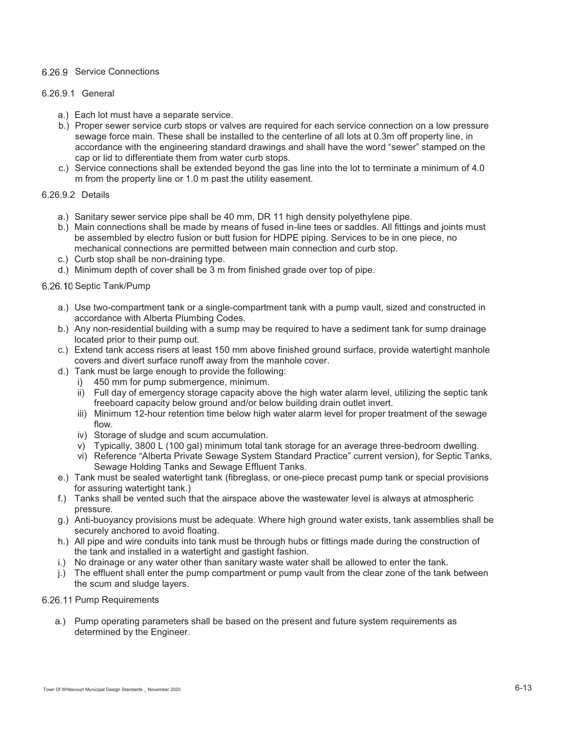## 6.26.9 Service Connections

#### 6.26.9.1 General

- a.) Each lot must have a separate service.
- b.) Proper sewer service curb stops or valves are required for each service connection on a low pressure sewage force main. These shall be installed to the centerline of all lots at 0.3m off property line, in accordance with the engineering standard drawings and shall have the word "sewer" stamped on the cap or lid to differentiate them from water curb stops.
- c.) Service connections shall be extended beyond the gas line into the lot to terminate a minimum of 4.0 m from the property line or 1.0 m past the utility easement.

#### 6.26.9.2 Details

- a.) Sanitary sewer service pipe shall be 40 mm, DR 11 high density polyethylene pipe.
- b.) Main connections shall be made by means of fused in-line tees or saddles. All fittings and joints must be assembled by electro fusion or butt fusion for HDPE piping. Services to be in one piece, no mechanical connections are permitted between main connection and curb stop.
- c.) Curb stop shall be non-draining type.
- d.) Minimum depth of cover shall be 3 m from finished grade over top of pipe.

## 6.26.10 Septic Tank/Pump

- a.) Use two-compartment tank or a single-compartment tank with a pump vault, sized and constructed in accordance with Alberta Plumbing Codes.
- b.) Any non-residential building with a sump may be required to have a sediment tank for sump drainage located prior to their pump out.
- c.) Extend tank access risers at least 150 mm above finished ground surface, provide watertight manhole covers and divert surface runoff away from the manhole cover.
- d.) Tank must be large enough to provide the following:
	- i) 450 mm for pump submergence, minimum.
	- ii) Full day of emergency storage capacity above the high water alarm level, utilizing the septic tank freeboard capacity below ground and/or below building drain outlet invert.
	- iii) Minimum 12-hour retention time below high water alarm level for proper treatment of the sewage flow.
	- iv) Storage of sludge and scum accumulation.
	- v) Typically, 3800 L (100 gal) minimum total tank storage for an average three-bedroom dwelling.
	- vi) Reference "Alberta Private Sewage System Standard Practice" current version), for Septic Tanks, Sewage Holding Tanks and Sewage Effluent Tanks.
- e.) Tank must be sealed watertight tank (fibreglass, or one-piece precast pump tank or special provisions for assuring watertight tank.)
- f.) Tanks shall be vented such that the airspace above the wastewater level is always at atmospheric pressure.
- g.) Anti-buoyancy provisions must be adequate. Where high ground water exists, tank assemblies shall be securely anchored to avoid floating.
- h.) All pipe and wire conduits into tank must be through hubs or fittings made during the construction of the tank and installed in a watertight and gastight fashion.
- i.) No drainage or any water other than sanitary waste water shall be allowed to enter the tank.
- j.) The effluent shall enter the pump compartment or pump vault from the clear zone of the tank between the scum and sludge layers.

#### 6.26.11 Pump Requirements

a.) Pump operating parameters shall be based on the present and future system requirements as determined by the Engineer.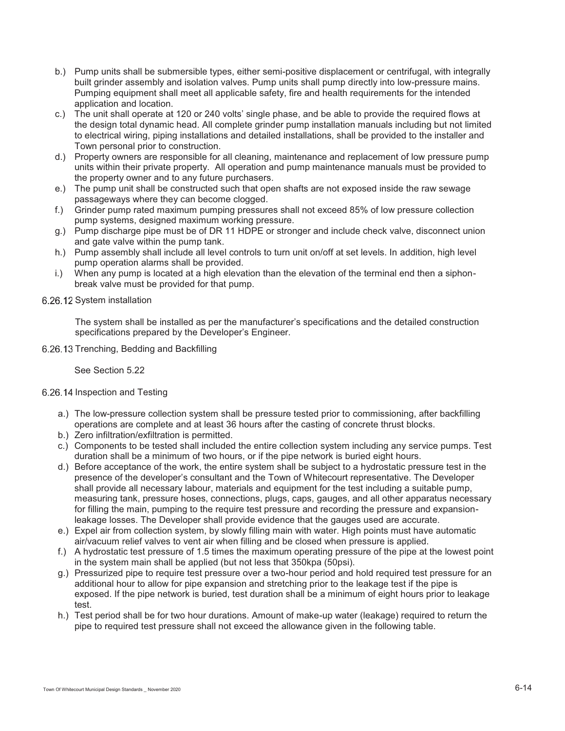- b.) Pump units shall be submersible types, either semi-positive displacement or centrifugal, with integrally built grinder assembly and isolation valves. Pump units shall pump directly into low-pressure mains. Pumping equipment shall meet all applicable safety, fire and health requirements for the intended application and location.
- c.) The unit shall operate at 120 or 240 volts' single phase, and be able to provide the required flows at the design total dynamic head. All complete grinder pump installation manuals including but not limited to electrical wiring, piping installations and detailed installations, shall be provided to the installer and Town personal prior to construction.
- d.) Property owners are responsible for all cleaning, maintenance and replacement of low pressure pump units within their private property. All operation and pump maintenance manuals must be provided to the property owner and to any future purchasers.
- e.) The pump unit shall be constructed such that open shafts are not exposed inside the raw sewage passageways where they can become clogged.
- f.) Grinder pump rated maximum pumping pressures shall not exceed 85% of low pressure collection pump systems, designed maximum working pressure.
- g.) Pump discharge pipe must be of DR 11 HDPE or stronger and include check valve, disconnect union and gate valve within the pump tank.
- h.) Pump assembly shall include all level controls to turn unit on/off at set levels. In addition, high level pump operation alarms shall be provided.
- i.) When any pump is located at a high elevation than the elevation of the terminal end then a siphonbreak valve must be provided for that pump.
- 6.26.12 System installation

The system shall be installed as per the manufacturer's specifications and the detailed construction specifications prepared by the Developer's Engineer.

6.26.13 Trenching, Bedding and Backfilling

See Section 5.22

#### 6.26.14 Inspection and Testing

- a.) The low-pressure collection system shall be pressure tested prior to commissioning, after backfilling operations are complete and at least 36 hours after the casting of concrete thrust blocks.
- b.) Zero infiltration/exfiltration is permitted.
- c.) Components to be tested shall included the entire collection system including any service pumps. Test duration shall be a minimum of two hours, or if the pipe network is buried eight hours.
- d.) Before acceptance of the work, the entire system shall be subject to a hydrostatic pressure test in the presence of the developer's consultant and the Town of Whitecourt representative. The Developer shall provide all necessary labour, materials and equipment for the test including a suitable pump, measuring tank, pressure hoses, connections, plugs, caps, gauges, and all other apparatus necessary for filling the main, pumping to the require test pressure and recording the pressure and expansionleakage losses. The Developer shall provide evidence that the gauges used are accurate.
- e.) Expel air from collection system, by slowly filling main with water. High points must have automatic air/vacuum relief valves to vent air when filling and be closed when pressure is applied.
- f.) A hydrostatic test pressure of 1.5 times the maximum operating pressure of the pipe at the lowest point in the system main shall be applied (but not less that 350kpa (50psi).
- g.) Pressurized pipe to require test pressure over a two-hour period and hold required test pressure for an additional hour to allow for pipe expansion and stretching prior to the leakage test if the pipe is exposed. If the pipe network is buried, test duration shall be a minimum of eight hours prior to leakage test.
- h.) Test period shall be for two hour durations. Amount of make-up water (leakage) required to return the pipe to required test pressure shall not exceed the allowance given in the following table.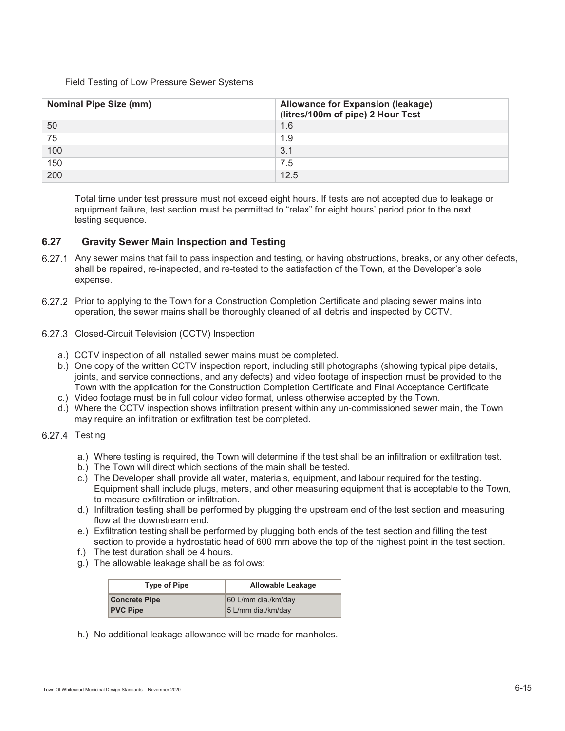#### Field Testing of Low Pressure Sewer Systems

| <b>Nominal Pipe Size (mm)</b> | <b>Allowance for Expansion (leakage)</b><br>(litres/100m of pipe) 2 Hour Test |
|-------------------------------|-------------------------------------------------------------------------------|
| 50                            | 1.6                                                                           |
| 75                            | 1.9                                                                           |
| 100                           | 3.1                                                                           |
| 150                           | 7.5                                                                           |
| 200                           | 12.5                                                                          |

Total time under test pressure must not exceed eight hours. If tests are not accepted due to leakage or equipment failure, test section must be permitted to "relax" for eight hours' period prior to the next testing sequence.

#### **6.27 Gravity Sewer Main Inspection and Testing**

- 6.27.1 Any sewer mains that fail to pass inspection and testing, or having obstructions, breaks, or any other defects, shall be repaired, re-inspected, and re-tested to the satisfaction of the Town, at the Developer's sole expense.
- 6.27.2 Prior to applying to the Town for a Construction Completion Certificate and placing sewer mains into operation, the sewer mains shall be thoroughly cleaned of all debris and inspected by CCTV.
- 6.27.3 Closed-Circuit Television (CCTV) Inspection
	- a.) CCTV inspection of all installed sewer mains must be completed.
	- b.) One copy of the written CCTV inspection report, including still photographs (showing typical pipe details, joints, and service connections, and any defects) and video footage of inspection must be provided to the Town with the application for the Construction Completion Certificate and Final Acceptance Certificate.
	- c.) Video footage must be in full colour video format, unless otherwise accepted by the Town.
	- d.) Where the CCTV inspection shows infiltration present within any un-commissioned sewer main, the Town may require an infiltration or exfiltration test be completed.
- 6.27.4 Testing
	- a.) Where testing is required, the Town will determine if the test shall be an infiltration or exfiltration test.
	- b.) The Town will direct which sections of the main shall be tested.
	- c.) The Developer shall provide all water, materials, equipment, and labour required for the testing. Equipment shall include plugs, meters, and other measuring equipment that is acceptable to the Town, to measure exfiltration or infiltration.
	- d.) Infiltration testing shall be performed by plugging the upstream end of the test section and measuring flow at the downstream end.
	- e.) Exfiltration testing shall be performed by plugging both ends of the test section and filling the test section to provide a hydrostatic head of 600 mm above the top of the highest point in the test section.
	- f.) The test duration shall be 4 hours.
	- g.) The allowable leakage shall be as follows:

| <b>Type of Pipe</b>  | Allowable Leakage   |
|----------------------|---------------------|
| <b>Concrete Pipe</b> | 60 L/mm dia./km/day |
| <b>PVC Pipe</b>      | 5 L/mm dia./km/day  |

h.) No additional leakage allowance will be made for manholes.